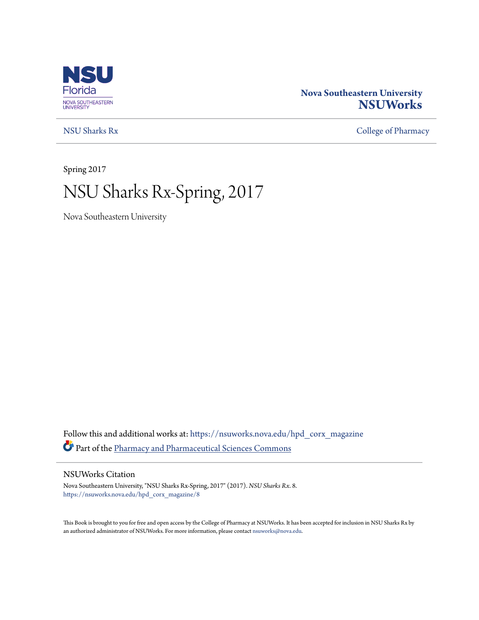

### **Nova Southeastern University [NSUWorks](https://nsuworks.nova.edu?utm_source=nsuworks.nova.edu%2Fhpd_corx_magazine%2F8&utm_medium=PDF&utm_campaign=PDFCoverPages)**

[NSU Sharks Rx](https://nsuworks.nova.edu/hpd_corx_magazine?utm_source=nsuworks.nova.edu%2Fhpd_corx_magazine%2F8&utm_medium=PDF&utm_campaign=PDFCoverPages) [College of Pharmacy](https://nsuworks.nova.edu/hpd_corx?utm_source=nsuworks.nova.edu%2Fhpd_corx_magazine%2F8&utm_medium=PDF&utm_campaign=PDFCoverPages)

Spring 2017

# NSU Sharks Rx-Spring, 2017

Nova Southeastern University

Follow this and additional works at: [https://nsuworks.nova.edu/hpd\\_corx\\_magazine](https://nsuworks.nova.edu/hpd_corx_magazine?utm_source=nsuworks.nova.edu%2Fhpd_corx_magazine%2F8&utm_medium=PDF&utm_campaign=PDFCoverPages) Part of the [Pharmacy and Pharmaceutical Sciences Commons](http://network.bepress.com/hgg/discipline/731?utm_source=nsuworks.nova.edu%2Fhpd_corx_magazine%2F8&utm_medium=PDF&utm_campaign=PDFCoverPages)

#### NSUWorks Citation

Nova Southeastern University, "NSU Sharks Rx-Spring, 2017" (2017). *NSU Sharks Rx*. 8. [https://nsuworks.nova.edu/hpd\\_corx\\_magazine/8](https://nsuworks.nova.edu/hpd_corx_magazine/8?utm_source=nsuworks.nova.edu%2Fhpd_corx_magazine%2F8&utm_medium=PDF&utm_campaign=PDFCoverPages)

This Book is brought to you for free and open access by the College of Pharmacy at NSUWorks. It has been accepted for inclusion in NSU Sharks Rx by an authorized administrator of NSUWorks. For more information, please contact [nsuworks@nova.edu.](mailto:nsuworks@nova.edu)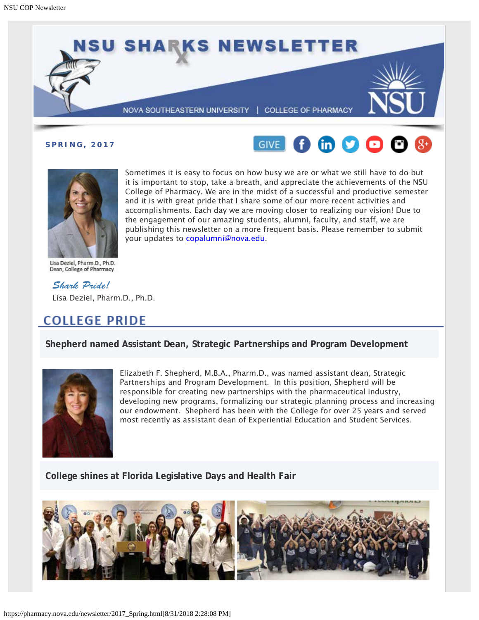

**SPRING, 2017**





Sometimes it is easy to focus on how busy we are or what we still have to do but it is important to stop, take a breath, and appreciate the achievements of the NSU College of Pharmacy. We are in the midst of a successful and productive semester and it is with great pride that I share some of our more recent activities and accomplishments. Each day we are moving closer to realizing our vision! Due to the engagement of our amazing students, alumni, faculty, and staff, we are publishing this newsletter on a more frequent basis. Please remember to submit your updates to [copalumni@nova.edu](mailto:copalumni@nova.edu).

Lisa Deziel, Pharm.D., Ph.D. Dean, College of Pharmacy

*Shark Pride!* Lisa Deziel, Pharm.D., Ph.D.

# **COLLEGE PRIDE**

**Shepherd named Assistant Dean, Strategic Partnerships and Program Development**



Elizabeth F. Shepherd, M.B.A., Pharm.D., was named assistant dean, Strategic Partnerships and Program Development. In this position, Shepherd will be responsible for creating new partnerships with the pharmaceutical industry, developing new programs, formalizing our strategic planning process and increasing our endowment. Shepherd has been with the College for over 25 years and served most recently as assistant dean of Experiential Education and Student Services.

**College shines at Florida Legislative Days and Health Fair**

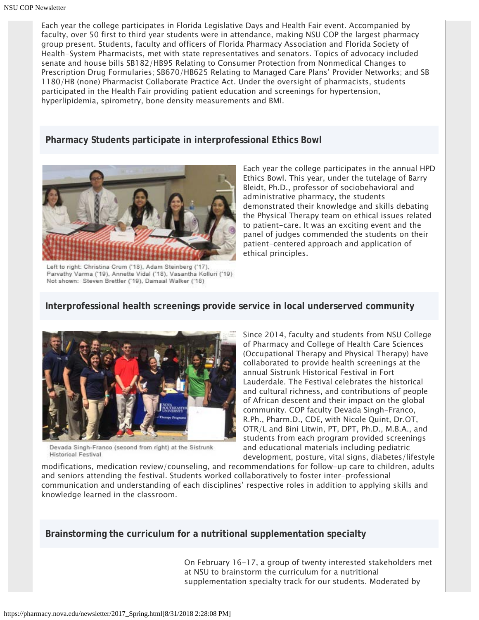Each year the college participates in Florida Legislative Days and Health Fair event. Accompanied by faculty, over 50 first to third year students were in attendance, making NSU COP the largest pharmacy group present. Students, faculty and officers of Florida Pharmacy Association and Florida Society of Health-System Pharmacists, met with state representatives and senators. Topics of advocacy included senate and house bills SB182/HB95 Relating to Consumer Protection from Nonmedical Changes to Prescription Drug Formularies; SB670/HB625 Relating to Managed Care Plans' Provider Networks; and SB 1180/HB (none) Pharmacist Collaborate Practice Act. Under the oversight of pharmacists, students participated in the Health Fair providing patient education and screenings for hypertension, hyperlipidemia, spirometry, bone density measurements and BMI.

**Pharmacy Students participate in interprofessional Ethics Bowl**



Left to right: Christina Crum ('18), Adam Steinberg ('17), Parvathy Varma ('19), Annette Vidal ('18), Vasantha Kolluri ('19) Not shown: Steven Brettler ('19), Damaal Walker ('18)

Each year the college participates in the annual HPD Ethics Bowl. This year, under the tutelage of Barry Bleidt, Ph.D., professor of sociobehavioral and administrative pharmacy, the students demonstrated their knowledge and skills debating the Physical Therapy team on ethical issues related to patient-care. It was an exciting event and the panel of judges commended the students on their patient-centered approach and application of ethical principles.

### **Interprofessional health screenings provide service in local underserved community**



Devada Singh-Franco (second from right) at the Sistrunk **Historical Festival** 

Since 2014, faculty and students from NSU College of Pharmacy and College of Health Care Sciences (Occupational Therapy and Physical Therapy) have collaborated to provide health screenings at the annual Sistrunk Historical Festival in Fort Lauderdale. The Festival celebrates the historical and cultural richness, and contributions of people of African descent and their impact on the global community. COP faculty Devada Singh-Franco, R.Ph., Pharm.D., CDE, with Nicole Quint, Dr.OT, OTR/L and Bini Litwin, PT, DPT, Ph.D., M.B.A., and students from each program provided screenings and educational materials including pediatric development, posture, vital signs, diabetes/lifestyle

modifications, medication review/counseling, and recommendations for follow-up care to children, adults and seniors attending the festival. Students worked collaboratively to foster inter-professional communication and understanding of each disciplines' respective roles in addition to applying skills and knowledge learned in the classroom.

**Brainstorming the curriculum for a nutritional supplementation specialty**

On February 16-17, a group of twenty interested stakeholders met at NSU to brainstorm the curriculum for a nutritional supplementation specialty track for our students. Moderated by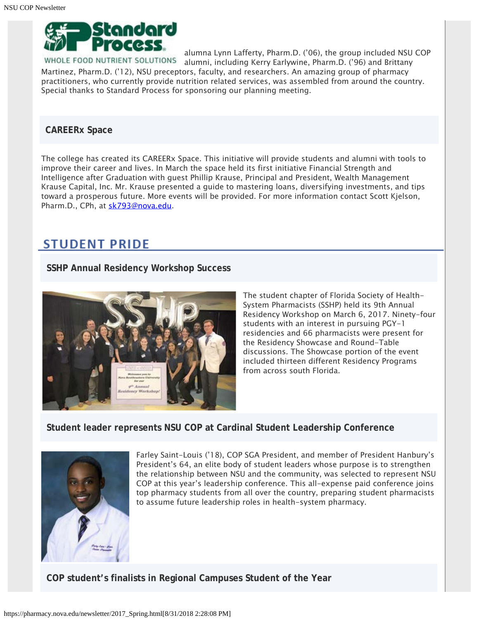

alumna Lynn Lafferty, Pharm.D. ('06), the group included NSU COP E FOOD NUTRIENT SOLUTIONS alumni, including Kerry Earlywine, Pharm.D. ('96) and Brittany Martinez, Pharm.D. ('12), NSU preceptors, faculty, and researchers. An amazing group of pharmacy practitioners, who currently provide nutrition related services, was assembled from around the country. Special thanks to Standard Process for sponsoring our planning meeting.

#### **CAREERx Space**

The college has created its CAREERx Space. This initiative will provide students and alumni with tools to improve their career and lives. In March the space held its first initiative Financial Strength and Intelligence after Graduation with guest Phillip Krause, Principal and President, Wealth Management Krause Capital, Inc. Mr. Krause presented a guide to mastering loans, diversifying investments, and tips toward a prosperous future. More events will be provided. For more information contact Scott Kjelson, Pharm.D., CPh, at [sk793@nova.edu](mailto:sk793@nova.edu).

### **STUDENT PRIDE**

#### **SSHP Annual Residency Workshop Success**



The student chapter of Florida Society of Health-System Pharmacists (SSHP) held its 9th Annual Residency Workshop on March 6, 2017. Ninety-four students with an interest in pursuing PGY-1 residencies and 66 pharmacists were present for the Residency Showcase and Round-Table discussions. The Showcase portion of the event included thirteen different Residency Programs from across south Florida.

### **Student leader represents NSU COP at Cardinal Student Leadership Conference**



Farley Saint-Louis ('18), COP SGA President, and member of President Hanbury's President's 64, an elite body of student leaders whose purpose is to strengthen the relationship between NSU and the community, was selected to represent NSU COP at this year's leadership conference. This all-expense paid conference joins top pharmacy students from all over the country, preparing student pharmacists to assume future leadership roles in health-system pharmacy.

**COP student's finalists in Regional Campuses Student of the Year**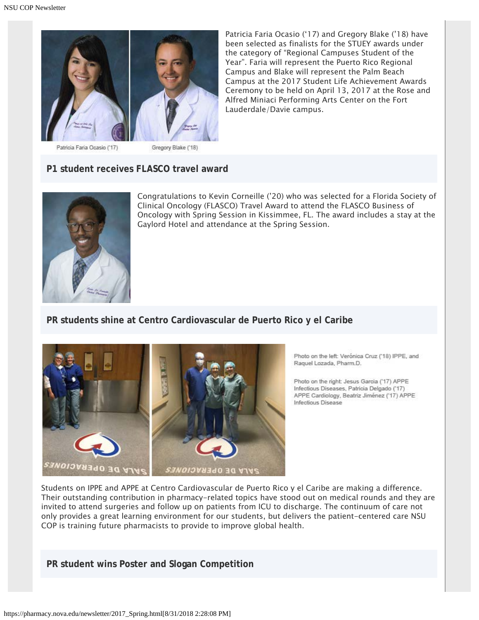

Patricia Faria Ocasio ('17) and Gregory Blake ('18) have been selected as finalists for the STUEY awards under the category of "Regional Campuses Student of the Year". Faria will represent the Puerto Rico Regional Campus and Blake will represent the Palm Beach Campus at the 2017 Student Life Achievement Awards Ceremony to be held on April 13, 2017 at the Rose and Alfred Miniaci Performing Arts Center on the Fort Lauderdale/Davie campus.

Patricia Faria Ocasio (17)

Gregory Blake ('18)

### **P1 student receives FLASCO travel award**



Congratulations to Kevin Corneille ('20) who was selected for a Florida Society of Clinical Oncology (FLASCO) Travel Award to attend the FLASCO Business of Oncology with Spring Session in Kissimmee, FL. The award includes a stay at the Gaylord Hotel and attendance at the Spring Session.

### **PR students shine at Centro Cardiovascular de Puerto Rico y el Caribe**



Photo on the left: Verónica Cruz ('18) IPPE, and Raquel Lozada, Pharm.D.

Photo on the right: Jesus Garcia ('17) APPE Infectious Diseases, Patricia Delgado ('17) APPE Cardiology, Beatriz Jiménez ('17) APPE Infectious Disease

Students on IPPE and APPE at Centro Cardiovascular de Puerto Rico y el Caribe are making a difference. Their outstanding contribution in pharmacy-related topics have stood out on medical rounds and they are invited to attend surgeries and follow up on patients from ICU to discharge. The continuum of care not only provides a great learning environment for our students, but delivers the patient-centered care NSU COP is training future pharmacists to provide to improve global health.

**PR student wins Poster and Slogan Competition**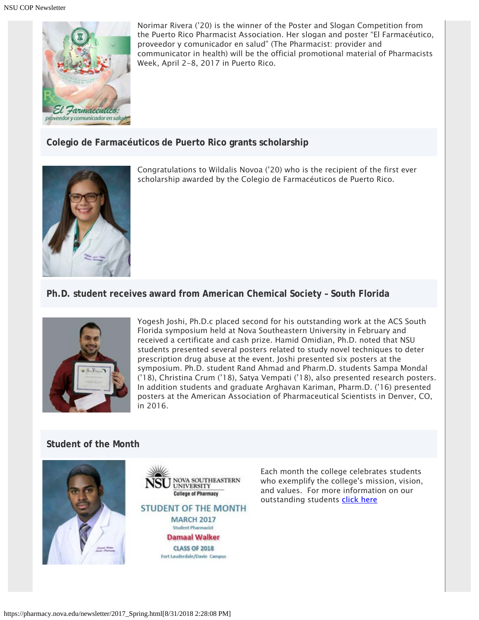

Norimar Rivera ('20) is the winner of the Poster and Slogan Competition from the Puerto Rico Pharmacist Association. Her slogan and poster "El Farmacéutico, proveedor y comunicador en salud" (The Pharmacist: provider and communicator in health) will be the official promotional material of Pharmacists Week, April 2-8, 2017 in Puerto Rico.

**Colegio de Farmacéuticos de Puerto Rico grants scholarship**



Congratulations to Wildalis Novoa ('20) who is the recipient of the first ever scholarship awarded by the Colegio de Farmacéuticos de Puerto Rico.

**Ph.D. student receives award from American Chemical Society – South Florida**



Yogesh Joshi, Ph.D.c placed second for his outstanding work at the ACS South Florida symposium held at Nova Southeastern University in February and received a certificate and cash prize. Hamid Omidian, Ph.D. noted that NSU students presented several posters related to study novel techniques to deter prescription drug abuse at the event. Joshi presented six posters at the symposium. Ph.D. student Rand Ahmad and Pharm.D. students Sampa Mondal ('18), Christina Crum ('18), Satya Vempati ('18), also presented research posters. In addition students and graduate Arghavan Kariman, Pharm.D. ('16) presented posters at the American Association of Pharmaceutical Scientists in Denver, CO, in 2016.

### **Student of the Month**



**NOVA SOUTHEASTERN UNIVERSITY College of Pharmacy STUDENT OF THE MONTH MARCH 2017 Student Pharmacist Damaal Walker CLASS OF 2018** Fort Lauderdale/Davie Campus

Each month the college celebrates students who exemplify the college's mission, vision, and values. For more information on our outstanding students [click here](http://pharmacy.nova.edu/students/som_march2017.html)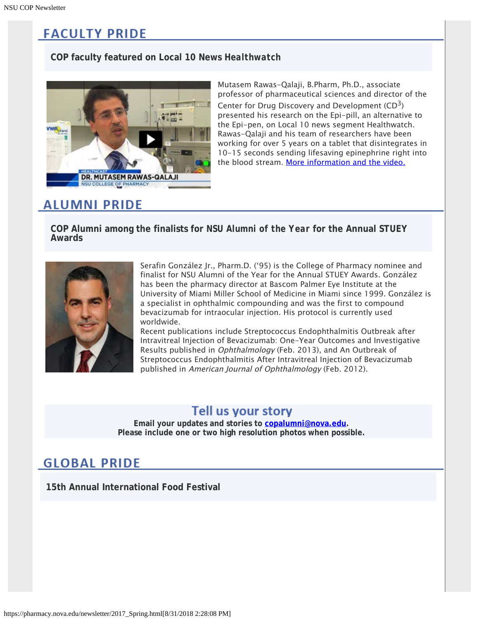# **FACULTY PRIDE**

### **COP faculty featured on Local 10 News** *Healthwatch*



Mutasem Rawas-Qalaji, B.Pharm, Ph.D., associate professor of pharmaceutical sciences and director of the Center for Drug Discovery and Development  $(CD<sup>3</sup>)$ presented his research on the Epi-pill, an alternative to the Epi-pen, on Local 10 news segment Healthwatch. Rawas-Qalaji and his team of researchers have been working for over 5 years on a tablet that disintegrates in 10-15 seconds sending lifesaving epinephrine right into the blood stream. [More information and the video.](http://www.local10.com/video/south-florida-researchers-work-on-cheaper-alternative-to-epipen)

# **ALUMNI PRIDE**

**COP Alumni among the finalists for** *NSU Alumni of the Year* **for the Annual STUEY Awards**



Serafin González Jr., Pharm.D. ('95) is the College of Pharmacy nominee and finalist for NSU Alumni of the Year for the Annual STUEY Awards. González has been the pharmacy director at Bascom Palmer Eye Institute at the University of Miami Miller School of Medicine in Miami since 1999. González is a specialist in ophthalmic compounding and was the first to compound bevacizumab for intraocular injection. His protocol is currently used worldwide.

Recent publications include Streptococcus Endophthalmitis Outbreak after Intravitreal Injection of Bevacizumab: One-Year Outcomes and Investigative Results published in Ophthalmology (Feb. 2013), and An Outbreak of Streptococcus Endophthalmitis After Intravitreal Injection of Bevacizumab published in American Journal of Ophthalmology (Feb. 2012).

### Tell us your story

**Email your updates and stories to [copalumni@nova.edu.](mailto:copalumni@nova.edu) Please include one or two high resolution photos when possible.**

# **GLOBAL PRIDE**

**15th Annual International Food Festival**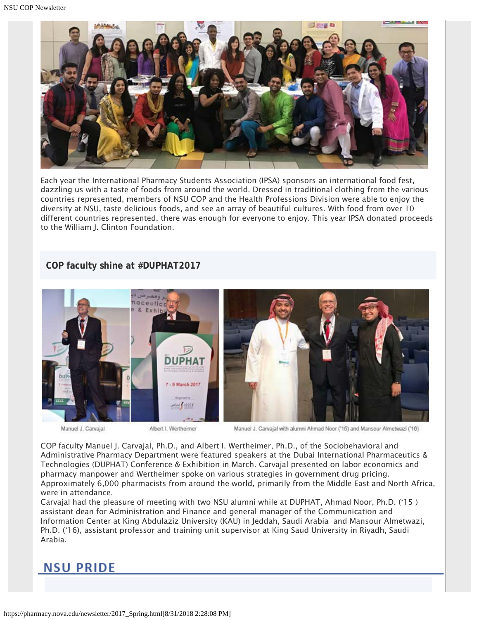

Each year the International Pharmacy Students Association (IPSA) sponsors an international food fest, dazzling us with a taste of foods from around the world. Dressed in traditional clothing from the various countries represented, members of NSU COP and the Health Professions Division were able to enjoy the diversity at NSU, taste delicious foods, and see an array of beautiful cultures. With food from over 10 different countries represented, there was enough for everyone to enjoy. This year IPSA donated proceeds to the William J. Clinton Foundation.

### **COP faculty shine at #DUPHAT2017**



Manuel J. Carvajal

Albert I. Wertheimer

Manuel J. Carvajal with alumni Ahmad Noor ('15) and Mansour Almetwazi ('16)

COP faculty Manuel J. Carvajal, Ph.D., and Albert I. Wertheimer, Ph.D., of the Sociobehavioral and Administrative Pharmacy Department were featured speakers at the Dubai International Pharmaceutics & Technologies (DUPHAT) Conference & Exhibition in March. Carvajal presented on labor economics and pharmacy manpower and Wertheimer spoke on various strategies in government drug pricing. Approximately 6,000 pharmacists from around the world, primarily from the Middle East and North Africa, were in attendance.

Carvajal had the pleasure of meeting with two NSU alumni while at DUPHAT, Ahmad Noor, Ph.D. ('15 ) assistant dean for Administration and Finance and general manager of the Communication and Information Center at King Abdulaziz University (KAU) in Jeddah, Saudi Arabia and Mansour Almetwazi, Ph.D. ('16), assistant professor and training unit supervisor at King Saud University in Riyadh, Saudi Arabia.

### **NSU PRIDE**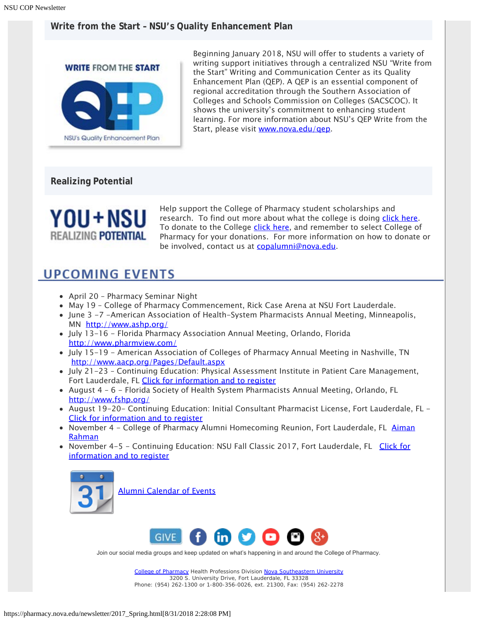### **Write from the Start – NSU's Quality Enhancement Plan**



Beginning January 2018, NSU will offer to students a variety of writing support initiatives through a centralized NSU "Write from the Start" Writing and Communication Center as its Quality Enhancement Plan (QEP). A QEP is an essential component of regional accreditation through the Southern Association of Colleges and Schools Commission on Colleges (SACSCOC). It shows the university's commitment to enhancing student learning. For more information about NSU's QEP Write from the Start, please visit [www.nova.edu/qep](http://www.nova.edu/qep).

### **Realizing Potential**



Help support the College of Pharmacy student scholarships and research. To find out more about what the college is doing [click here](https://www.nova.edu/publications/realizingpotential/pharmacy/). To donate to the College [click here](https://realizingpotential.nova.edu/give/), and remember to select College of Pharmacy for your donations. For more information on how to donate or be involved, contact us at [copalumni@nova.edu](mailto:copalumni@nova.edu).

# **UPCOMING EVENTS**

- April 20 Pharmacy Seminar Night
- May 19 College of Pharmacy Commencement, Rick Case Arena at NSU Fort Lauderdale.
- June 3 -7 -American Association of Health-System Pharmacists Annual Meeting, Minneapolis, MN <http://www.ashp.org/>
- July 13-16 Florida Pharmacy Association Annual Meeting, Orlando, Florida <http://www.pharmview.com/>
- July 15-19 American Association of Colleges of Pharmacy Annual Meeting in Nashville, TN <http://www.aacp.org/Pages/Default.aspx>
- July 21-23 Continuing Education: Physical Assessment Institute in Patient Care Management, Fort Lauderdale, FL [Click for information and to register](http://pharmacy.nova.edu/ce/schedule.html)
- August 4 6 Florida Society of Health System Pharmacists Annual Meeting, Orlando, FL <http://www.fshp.org/>
- August 19-20- Continuing Education: Initial Consultant Pharmacist License, Fort Lauderdale, FL [Click for information and to register](http://pharmacy.nova.edu/ce/schedule.html)
- November 4 College of Pharmacy Alumni Homecoming Reunion, Fort Lauderdale, FL [Aiman](mailto:arahman@nova.edu) [Rahman](mailto:arahman@nova.edu)
- November 4-5 Continuing Education: NSU Fall Classic 2017, Fort Lauderdale, FL [Click for](http://pharmacy.nova.edu/ce/schedule.html) [information and to register](http://pharmacy.nova.edu/ce/schedule.html)



[Alumni Calendar of Events](http://pharmacy.nova.edu/documents/alumniCalendar.pdf)



Join our social media groups and keep updated on what's happening in and around the College of Pharmacy.

[College of Pharmacy](http://pharmacy.nova.edu/) Health Professions Division [Nova Southeastern University](http://www.nova.edu/) 3200 S. University Drive, Fort Lauderdale, FL 33328 Phone: (954) 262-1300 or 1-800-356-0026, ext. 21300, Fax: (954) 262-2278